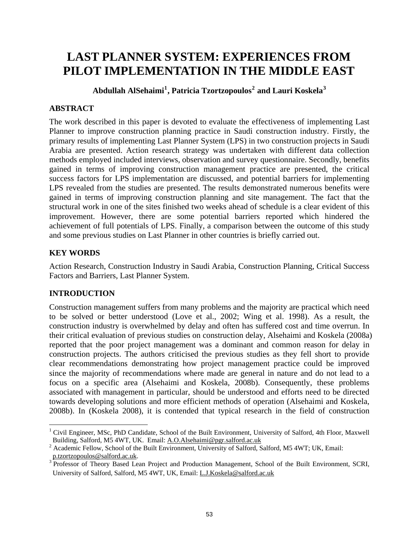# **LAST PLANNER SYSTEM: EXPERIENCES FROM PILOT IMPLEMENTATION IN THE MIDDLE EAST**

**Abdullah AlSehaimi[1](#page-0-0) , Patricia Tzortzopoulos[2](#page-0-1) and Lauri Koskela[3](#page-0-2)**

# **ABSTRACT**

The work described in this paper is devoted to evaluate the effectiveness of implementing Last Planner to improve construction planning practice in Saudi construction industry. Firstly, the primary results of implementing Last Planner System (LPS) in two construction projects in Saudi Arabia are presented. Action research strategy was undertaken with different data collection methods employed included interviews, observation and survey questionnaire. Secondly, benefits gained in terms of improving construction management practice are presented, the critical success factors for LPS implementation are discussed, and potential barriers for implementing LPS revealed from the studies are presented. The results demonstrated numerous benefits were gained in terms of improving construction planning and site management. The fact that the structural work in one of the sites finished two weeks ahead of schedule is a clear evident of this improvement. However, there are some potential barriers reported which hindered the achievement of full potentials of LPS. Finally, a comparison between the outcome of this study and some previous studies on Last Planner in other countries is briefly carried out.

# **KEY WORDS**

Action Research, Construction Industry in Saudi Arabia, Construction Planning, Critical Success Factors and Barriers, Last Planner System.

# **INTRODUCTION**

1

Construction management suffers from many problems and the majority are practical which need to be solved or better understood (Love et al., 2002; Wing et al. 1998). As a result, the construction industry is overwhelmed by delay and often has suffered cost and time overrun. In their critical evaluation of previous studies on construction delay, Alsehaimi and Koskela (2008a) reported that the poor project management was a dominant and common reason for delay in construction projects. The authors criticised the previous studies as they fell short to provide clear recommendations demonstrating how project management practice could be improved since the majority of recommendations where made are general in nature and do not lead to a focus on a specific area (Alsehaimi and Koskela, 2008b). Consequently, these problems associated with management in particular, should be understood and efforts need to be directed towards developing solutions and more efficient methods of operation (Alsehaimi and Koskela, 2008b). In (Koskela 2008), it is contended that typical research in the field of construction

<span id="page-0-0"></span><sup>&</sup>lt;sup>1</sup> Civil Engineer, MSc, PhD Candidate, School of the Built Environment, University of Salford, 4th Floor, Maxwell Building, Salford, M5 4WT, UK. Email: [A.O.Alsehaimi@pgr.salford.ac.uk](mailto:A.O.Alsehaimi@pgr.salford.ac.uk) <sup>2</sup>

<span id="page-0-1"></span><sup>&</sup>lt;sup>2</sup> Academic Fellow, School of the Built Environment, University of Salford, Salford, M5 4WT; UK, Email: p.tzortzopoulos@salford.ac.uk. 3

<span id="page-0-2"></span><sup>&</sup>lt;sup>3</sup> Professor of Theory Based Lean Project and Production Management, School of the Built Environment, SCRI, University of Salford, Salford, M5 4WT, UK, Email: [L.J.Koskela@salford.ac.uk](mailto:L.J.Koskela@salford.ac.uk)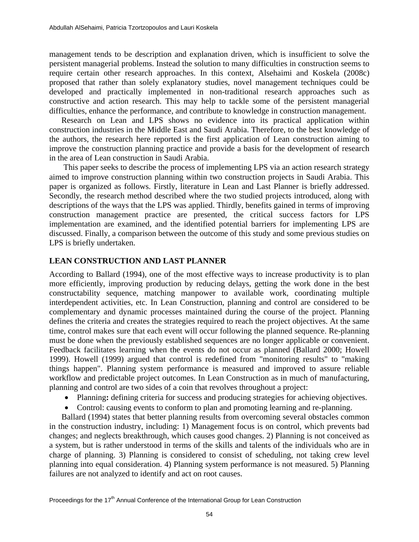management tends to be description and explanation driven, which is insufficient to solve the persistent managerial problems. Instead the solution to many difficulties in construction seems to require certain other research approaches. In this context, Alsehaimi and Koskela (2008c) proposed that rather than solely explanatory studies, novel management techniques could be developed and practically implemented in non-traditional research approaches such as constructive and action research. This may help to tackle some of the persistent managerial difficulties, enhance the performance, and contribute to knowledge in construction management.

Research on Lean and LPS shows no evidence into its practical application within construction industries in the Middle East and Saudi Arabia. Therefore, to the best knowledge of the authors, the research here reported is the first application of Lean construction aiming to improve the construction planning practice and provide a basis for the development of research in the area of Lean construction in Saudi Arabia.

 This paper seeks to describe the process of implementing LPS via an action research strategy aimed to improve construction planning within two construction projects in Saudi Arabia. This paper is organized as follows. Firstly, literature in Lean and Last Planner is briefly addressed. Secondly, the research method described where the two studied projects introduced, along with descriptions of the ways that the LPS was applied. Thirdly, benefits gained in terms of improving construction management practice are presented, the critical success factors for LPS implementation are examined, and the identified potential barriers for implementing LPS are discussed. Finally, a comparison between the outcome of this study and some previous studies on LPS is briefly undertaken.

## **LEAN CONSTRUCTION AND LAST PLANNER**

According to Ballard (1994), one of the most effective ways to increase productivity is to plan more efficiently, improving production by reducing delays, getting the work done in the best constructability sequence, matching manpower to available work, coordinating multiple interdependent activities, etc. In Lean Construction, planning and control are considered to be complementary and dynamic processes maintained during the course of the project. Planning defines the criteria and creates the strategies required to reach the project objectives. At the same time, control makes sure that each event will occur following the planned sequence. Re-planning must be done when the previously established sequences are no longer applicable or convenient. Feedback facilitates learning when the events do not occur as planned (Ballard 2000; Howell 1999). Howell (1999) argued that control is redefined from "monitoring results" to "making things happen". Planning system performance is measured and improved to assure reliable workflow and predictable project outcomes. In Lean Construction as in much of manufacturing, planning and control are two sides of a coin that revolves throughout a project:

- Planning: defining criteria for success and producing strategies for achieving objectives.
- Control: causing events to conform to plan and promoting learning and re-planning.

Ballard (1994) states that better planning results from overcoming several obstacles common in the construction industry, including: 1) Management focus is on control, which prevents bad changes; and neglects breakthrough, which causes good changes. 2) Planning is not conceived as a system, but is rather understood in terms of the skills and talents of the individuals who are in charge of planning. 3) Planning is considered to consist of scheduling, not taking crew level planning into equal consideration. 4) Planning system performance is not measured. 5) Planning failures are not analyzed to identify and act on root causes.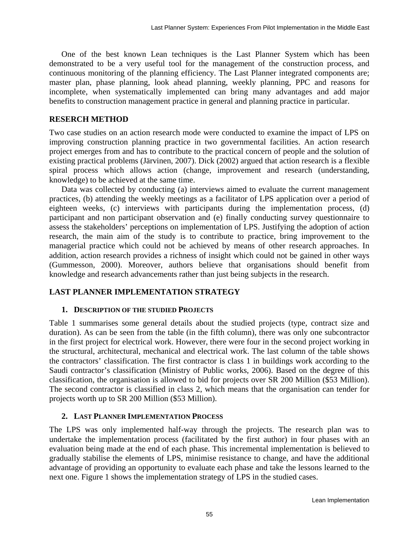One of the best known Lean techniques is the Last Planner System which has been demonstrated to be a very useful tool for the management of the construction process, and continuous monitoring of the planning efficiency. The Last Planner integrated components are; master plan, phase planning, look ahead planning, weekly planning, PPC and reasons for incomplete, when systematically implemented can bring many advantages and add major benefits to construction management practice in general and planning practice in particular.

## **RESERCH METHOD**

Two case studies on an action research mode were conducted to examine the impact of LPS on improving construction planning practice in two governmental facilities. An action research project emerges from and has to contribute to the practical concern of people and the solution of existing practical problems (Järvinen, 2007). Dick (2002) argued that action research is a flexible spiral process which allows action (change, improvement and research (understanding, knowledge) to be achieved at the same time.

Data was collected by conducting (a) interviews aimed to evaluate the current management practices, (b) attending the weekly meetings as a facilitator of LPS application over a period of eighteen weeks, (c) interviews with participants during the implementation process, (d) participant and non participant observation and (e) finally conducting survey questionnaire to assess the stakeholders' perceptions on implementation of LPS. Justifying the adoption of action research, the main aim of the study is to contribute to practice, bring improvement to the managerial practice which could not be achieved by means of other research approaches. In addition, action research provides a richness of insight which could not be gained in other ways (Gummesson, 2000). Moreover, authors believe that organisations should benefit from knowledge and research advancements rather than just being subjects in the research.

## **LAST PLANNER IMPLEMENTATION STRATEGY**

## **1. DESCRIPTION OF THE STUDIED PROJECTS**

Table 1 summarises some general details about the studied projects (type, contract size and duration). As can be seen from the table (in the fifth column), there was only one subcontractor in the first project for electrical work. However, there were four in the second project working in the structural, architectural, mechanical and electrical work. The last column of the table shows the contractors' classification. The first contractor is class 1 in buildings work according to the Saudi contractor's classification (Ministry of Public works, 2006). Based on the degree of this classification, the organisation is allowed to bid for projects over SR 200 Million (\$53 Million). The second contractor is classified in class 2, which means that the organisation can tender for projects worth up to SR 200 Million (\$53 Million).

## **2. LAST PLANNER IMPLEMENTATION PROCESS**

The LPS was only implemented half-way through the projects. The research plan was to undertake the implementation process (facilitated by the first author) in four phases with an evaluation being made at the end of each phase. This incremental implementation is believed to gradually stabilise the elements of LPS, minimise resistance to change, and have the additional advantage of providing an opportunity to evaluate each phase and take the lessons learned to the next one. Figure 1 shows the implementation strategy of LPS in the studied cases.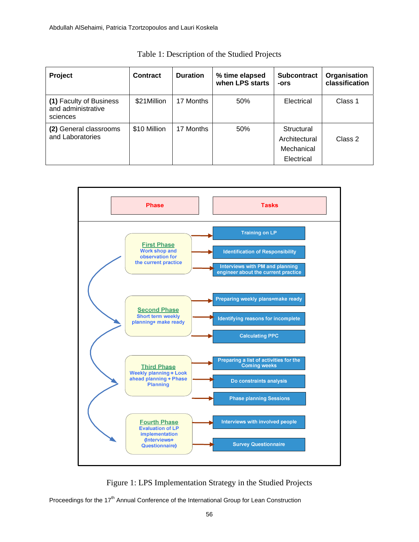| Project                                                   | <b>Contract</b> | <b>Duration</b> | % time elapsed<br>when LPS starts | <b>Subcontract</b><br>-ors                              | Organisation<br>classification |
|-----------------------------------------------------------|-----------------|-----------------|-----------------------------------|---------------------------------------------------------|--------------------------------|
| (1) Faculty of Business<br>and administrative<br>sciences | \$21Million     | 17 Months       | 50%                               | Electrical                                              | Class 1                        |
| (2) General classrooms<br>and Laboratories                | \$10 Million    | 17 Months       | 50%                               | Structural<br>Architectural<br>Mechanical<br>Electrical | Class 2                        |

|  | Table 1: Description of the Studied Projects |
|--|----------------------------------------------|
|--|----------------------------------------------|



Figure 1: LPS Implementation Strategy in the Studied Projects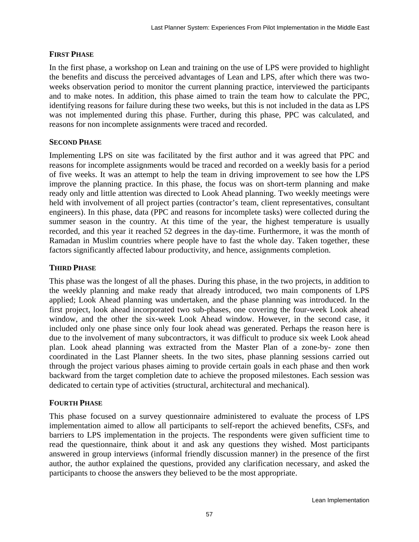## **FIRST PHASE**

In the first phase, a workshop on Lean and training on the use of LPS were provided to highlight the benefits and discuss the perceived advantages of Lean and LPS, after which there was twoweeks observation period to monitor the current planning practice, interviewed the participants and to make notes. In addition, this phase aimed to train the team how to calculate the PPC, identifying reasons for failure during these two weeks, but this is not included in the data as LPS was not implemented during this phase. Further, during this phase, PPC was calculated, and reasons for non incomplete assignments were traced and recorded.

## **SECOND PHASE**

Implementing LPS on site was facilitated by the first author and it was agreed that PPC and reasons for incomplete assignments would be traced and recorded on a weekly basis for a period of five weeks. It was an attempt to help the team in driving improvement to see how the LPS improve the planning practice. In this phase, the focus was on short-term planning and make ready only and little attention was directed to Look Ahead planning. Two weekly meetings were held with involvement of all project parties (contractor's team, client representatives, consultant engineers). In this phase, data (PPC and reasons for incomplete tasks) were collected during the summer season in the country. At this time of the year, the highest temperature is usually recorded, and this year it reached 52 degrees in the day-time. Furthermore, it was the month of Ramadan in Muslim countries where people have to fast the whole day. Taken together, these factors significantly affected labour productivity, and hence, assignments completion.

## **THIRD PHASE**

This phase was the longest of all the phases. During this phase, in the two projects, in addition to the weekly planning and make ready that already introduced, two main components of LPS applied; Look Ahead planning was undertaken, and the phase planning was introduced. In the first project, look ahead incorporated two sub-phases, one covering the four-week Look ahead window, and the other the six-week Look Ahead window. However, in the second case, it included only one phase since only four look ahead was generated. Perhaps the reason here is due to the involvement of many subcontractors, it was difficult to produce six week Look ahead plan. Look ahead planning was extracted from the Master Plan of a zone-by- zone then coordinated in the Last Planner sheets. In the two sites, phase planning sessions carried out through the project various phases aiming to provide certain goals in each phase and then work backward from the target completion date to achieve the proposed milestones. Each session was dedicated to certain type of activities (structural, architectural and mechanical).

## **FOURTH PHASE**

This phase focused on a survey questionnaire administered to evaluate the process of LPS implementation aimed to allow all participants to self-report the achieved benefits, CSFs, and barriers to LPS implementation in the projects. The respondents were given sufficient time to read the questionnaire, think about it and ask any questions they wished. Most participants answered in group interviews (informal friendly discussion manner) in the presence of the first author, the author explained the questions, provided any clarification necessary, and asked the participants to choose the answers they believed to be the most appropriate.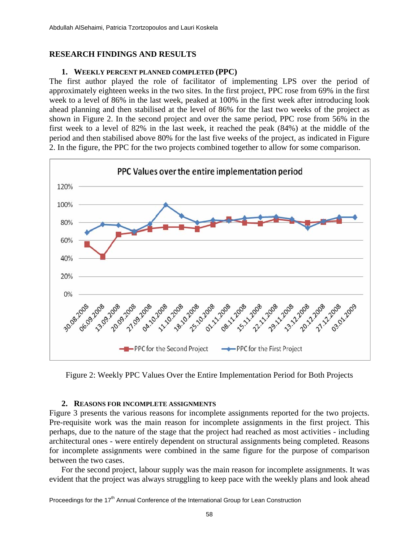#### **RESEARCH FINDINGS AND RESULTS**

#### **1. WEEKLY PERCENT PLANNED COMPLETED (PPC)**

The first author played the role of facilitator of implementing LPS over the period of approximately eighteen weeks in the two sites. In the first project, PPC rose from 69% in the first week to a level of 86% in the last week, peaked at 100% in the first week after introducing look ahead planning and then stabilised at the level of 86% for the last two weeks of the project as shown in Figure 2. In the second project and over the same period, PPC rose from 56% in the first week to a level of 82% in the last week, it reached the peak (84%) at the middle of the period and then stabilised above 80% for the last five weeks of the project, as indicated in Figure 2. In the figure, the PPC for the two projects combined together to allow for some comparison.



Figure 2: Weekly PPC Values Over the Entire Implementation Period for Both Projects

#### **2. REASONS FOR INCOMPLETE ASSIGNMENTS**

Figure 3 presents the various reasons for incomplete assignments reported for the two projects. Pre-requisite work was the main reason for incomplete assignments in the first project. This perhaps, due to the nature of the stage that the project had reached as most activities - including architectural ones - were entirely dependent on structural assignments being completed. Reasons for incomplete assignments were combined in the same figure for the purpose of comparison between the two cases.

For the second project, labour supply was the main reason for incomplete assignments. It was evident that the project was always struggling to keep pace with the weekly plans and look ahead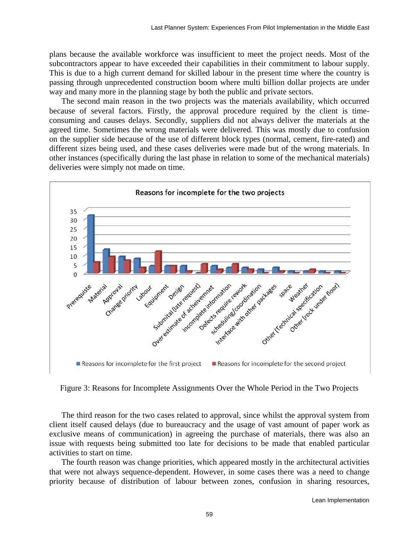plans because the available workforce was insufficient to meet the project needs. Most of the subcontractors appear to have exceeded their capabilities in their commitment to labour supply. This is due to a high current demand for skilled labour in the present time where the country is passing through unprecedented construction boom where multi billion dollar projects are under way and many more in the planning stage by both the public and private sectors.

The second main reason in the two projects was the materials availability, which occurred because of several factors. Firstly, the approval procedure required by the client is timeconsuming and causes delays. Secondly, suppliers did not always deliver the materials at the agreed time. Sometimes the wrong materials were delivered. This was mostly due to confusion on the supplier side because of the use of different block types (normal, cement, fire-rated) and different sizes being used, and these cases deliveries were made but of the wrong materials. In other instances (specifically during the last phase in relation to some of the mechanical materials) deliveries were simply not made on time.



Figure 3: Reasons for Incomplete Assignments Over the Whole Period in the Two Projects

The third reason for the two cases related to approval, since whilst the approval system from client itself caused delays (due to bureaucracy and the usage of vast amount of paper work as exclusive means of communication) in agreeing the purchase of materials, there was also an issue with requests being submitted too late for decisions to be made that enabled particular activities to start on time.

The fourth reason was change priorities, which appeared mostly in the architectural activities that were not always sequence-dependent. However, in some cases there was a need to change priority because of distribution of labour between zones, confusion in sharing resources,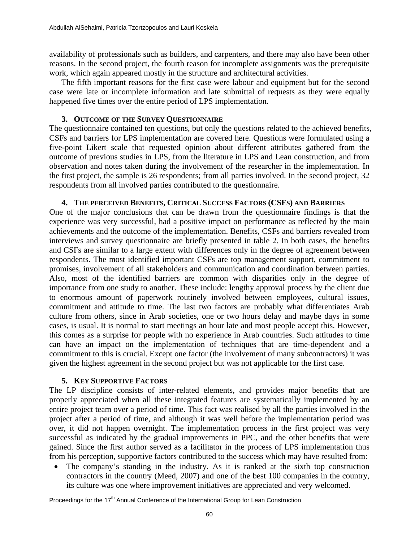availability of professionals such as builders, and carpenters, and there may also have been other reasons. In the second project, the fourth reason for incomplete assignments was the prerequisite work, which again appeared mostly in the structure and architectural activities.

The fifth important reasons for the first case were labour and equipment but for the second case were late or incomplete information and late submittal of requests as they were equally happened five times over the entire period of LPS implementation.

#### **3. OUTCOME OF THE SURVEY QUESTIONNAIRE**

The questionnaire contained ten questions, but only the questions related to the achieved benefits, CSFs and barriers for LPS implementation are covered here. Questions were formulated using a five-point Likert scale that requested opinion about different attributes gathered from the outcome of previous studies in LPS, from the literature in LPS and Lean construction, and from observation and notes taken during the involvement of the researcher in the implementation. In the first project, the sample is 26 respondents; from all parties involved. In the second project, 32 respondents from all involved parties contributed to the questionnaire.

#### **4. THE PERCEIVED BENEFITS, CRITICAL SUCCESS FACTORS (CSFS) AND BARRIERS**

One of the major conclusions that can be drawn from the questionnaire findings is that the experience was very successful, had a positive impact on performance as reflected by the main achievements and the outcome of the implementation. Benefits, CSFs and barriers revealed from interviews and survey questionnaire are briefly presented in table 2. In both cases, the benefits and CSFs are similar to a large extent with differences only in the degree of agreement between respondents. The most identified important CSFs are top management support, commitment to promises, involvement of all stakeholders and communication and coordination between parties. Also, most of the identified barriers are common with disparities only in the degree of importance from one study to another. These include: lengthy approval process by the client due to enormous amount of paperwork routinely involved between employees, cultural issues, commitment and attitude to time. The last two factors are probably what differentiates Arab culture from others, since in Arab societies, one or two hours delay and maybe days in some cases, is usual. It is normal to start meetings an hour late and most people accept this. However, this comes as a surprise for people with no experience in Arab countries. Such attitudes to time can have an impact on the implementation of techniques that are time-dependent and a commitment to this is crucial. Except one factor (the involvement of many subcontractors) it was given the highest agreement in the second project but was not applicable for the first case.

#### **5. KEY SUPPORTIVE FACTORS**

The LP discipline consists of inter-related elements, and provides major benefits that are properly appreciated when all these integrated features are systematically implemented by an entire project team over a period of time. This fact was realised by all the parties involved in the project after a period of time, and although it was well before the implementation period was over, it did not happen overnight. The implementation process in the first project was very successful as indicated by the gradual improvements in PPC, and the other benefits that were gained. Since the first author served as a facilitator in the process of LPS implementation thus from his perception, supportive factors contributed to the success which may have resulted from:

• The company's standing in the industry. As it is ranked at the sixth top construction contractors in the country (Meed, 2007) and one of the best 100 companies in the country, its culture was one where improvement initiatives are appreciated and very welcomed.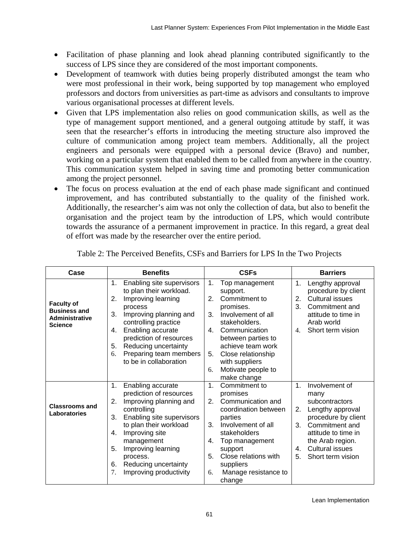- Facilitation of phase planning and look ahead planning contributed significantly to the success of LPS since they are considered of the most important components.
- Development of teamwork with duties being properly distributed amongst the team who were most professional in their work, being supported by top management who employed professors and doctors from universities as part-time as advisors and consultants to improve various organisational processes at different levels.
- Given that LPS implementation also relies on good communication skills, as well as the type of management support mentioned, and a general outgoing attitude by staff, it was seen that the researcher's efforts in introducing the meeting structure also improved the culture of communication among project team members. Additionally, all the project engineers and personals were equipped with a personal device (Bravo) and number, working on a particular system that enabled them to be called from anywhere in the country. This communication system helped in saving time and promoting better communication among the project personnel.
- The focus on process evaluation at the end of each phase made significant and continued improvement, and has contributed substantially to the quality of the finished work. Additionally, the researcher's aim was not only the collection of data, but also to benefit the organisation and the project team by the introduction of LPS, which would contribute towards the assurance of a permanent improvement in practice. In this regard, a great deal of effort was made by the researcher over the entire period.

| Case                                                                                | <b>Benefits</b>                                                                                                                                                                                                                                                                                            | <b>CSFs</b>                                                                                                                                                                                                                                                                  | <b>Barriers</b>                                                                                                                                                                                                                           |  |
|-------------------------------------------------------------------------------------|------------------------------------------------------------------------------------------------------------------------------------------------------------------------------------------------------------------------------------------------------------------------------------------------------------|------------------------------------------------------------------------------------------------------------------------------------------------------------------------------------------------------------------------------------------------------------------------------|-------------------------------------------------------------------------------------------------------------------------------------------------------------------------------------------------------------------------------------------|--|
| <b>Faculty of</b><br><b>Business and</b><br><b>Administrative</b><br><b>Science</b> | Enabling site supervisors<br>1.<br>to plan their workload.<br>2.<br>Improving learning<br>process<br>3.<br>Improving planning and<br>controlling practice<br>Enabling accurate<br>4.<br>prediction of resources<br>Reducing uncertainty<br>5.<br>Preparing team members<br>6.<br>to be in collaboration    | 1.<br>Top management<br>support.<br>Commitment to<br>2.<br>promises.<br>3.<br>Involvement of all<br>stakeholders.<br>Communication<br>4.<br>between parties to<br>achieve team work<br>Close relationship<br>5.<br>with suppliers<br>Motivate people to<br>6.<br>make change | Lengthy approval<br>1.<br>procedure by client<br><b>Cultural issues</b><br>2.<br>3.<br>Commitment and<br>attitude to time in<br>Arab world<br>Short term vision<br>4.                                                                     |  |
| <b>Classrooms and</b><br>Laboratories                                               | 1.<br>Enabling accurate<br>prediction of resources<br>2.<br>Improving planning and<br>controlling<br>3.<br>Enabling site supervisors<br>to plan their workload<br>Improving site<br>4.<br>management<br>5.<br>Improving learning<br>process.<br>Reducing uncertainty<br>6.<br>Improving productivity<br>7. | 1 <sub>1</sub><br>Commitment to<br>promises<br>Communication and<br>2.<br>coordination between<br>parties<br>3.<br>Involvement of all<br>stakeholders<br>Top management<br>4.<br>support<br>5.<br>Close relations with<br>suppliers<br>Manage resistance to<br>6.<br>change  | Involvement of<br>1 <sub>1</sub><br>many<br>subcontractors<br>2.<br>Lengthy approval<br>procedure by client<br>3.<br>Commitment and<br>attitude to time in<br>the Arab region.<br><b>Cultural issues</b><br>4.<br>5.<br>Short term vision |  |

Table 2: The Perceived Benefits, CSFs and Barriers for LPS In the Two Projects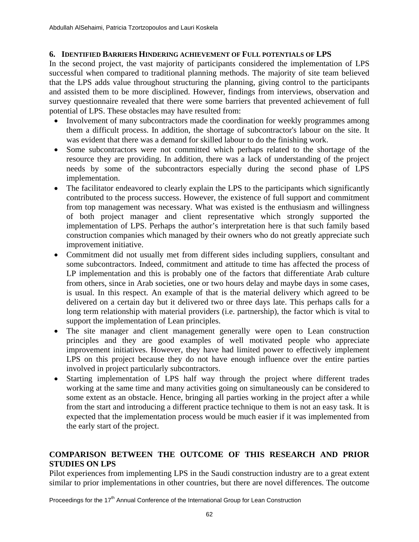#### **6. IDENTIFIED BARRIERS HINDERING ACHIEVEMENT OF FULL POTENTIALS OF LPS**

In the second project, the vast majority of participants considered the implementation of LPS successful when compared to traditional planning methods. The majority of site team believed that the LPS adds value throughout structuring the planning, giving control to the participants and assisted them to be more disciplined. However, findings from interviews, observation and survey questionnaire revealed that there were some barriers that prevented achievement of full potential of LPS. These obstacles may have resulted from:

- Involvement of many subcontractors made the coordination for weekly programmes among them a difficult process. In addition, the shortage of subcontractor's labour on the site. It was evident that there was a demand for skilled labour to do the finishing work.
- Some subcontractors were not committed which perhaps related to the shortage of the resource they are providing. In addition, there was a lack of understanding of the project needs by some of the subcontractors especially during the second phase of LPS implementation.
- The facilitator endeavored to clearly explain the LPS to the participants which significantly contributed to the process success. However, the existence of full support and commitment from top management was necessary. What was existed is the enthusiasm and willingness of both project manager and client representative which strongly supported the implementation of LPS. Perhaps the author's interpretation here is that such family based construction companies which managed by their owners who do not greatly appreciate such improvement initiative.
- Commitment did not usually met from different sides including suppliers, consultant and some subcontractors. Indeed, commitment and attitude to time has affected the process of LP implementation and this is probably one of the factors that differentiate Arab culture from others, since in Arab societies, one or two hours delay and maybe days in some cases, is usual. In this respect. An example of that is the material delivery which agreed to be delivered on a certain day but it delivered two or three days late. This perhaps calls for a long term relationship with material providers (i.e. partnership), the factor which is vital to support the implementation of Lean principles.
- The site manager and client management generally were open to Lean construction principles and they are good examples of well motivated people who appreciate improvement initiatives. However, they have had limited power to effectively implement LPS on this project because they do not have enough influence over the entire parties involved in project particularly subcontractors.
- Starting implementation of LPS half way through the project where different trades working at the same time and many activities going on simultaneously can be considered to some extent as an obstacle. Hence, bringing all parties working in the project after a while from the start and introducing a different practice technique to them is not an easy task. It is expected that the implementation process would be much easier if it was implemented from the early start of the project.

## **COMPARISON BETWEEN THE OUTCOME OF THIS RESEARCH AND PRIOR STUDIES ON LPS**

Pilot experiences from implementing LPS in the Saudi construction industry are to a great extent similar to prior implementations in other countries, but there are novel differences. The outcome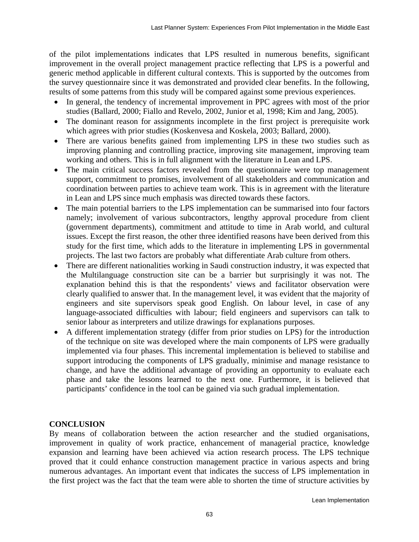of the pilot implementations indicates that LPS resulted in numerous benefits, significant improvement in the overall project management practice reflecting that LPS is a powerful and generic method applicable in different cultural contexts. This is supported by the outcomes from the survey questionnaire since it was demonstrated and provided clear benefits. In the following, results of some patterns from this study will be compared against some previous experiences.

- In general, the tendency of incremental improvement in PPC agrees with most of the prior studies (Ballard, 2000; Fiallo and Revelo, 2002, Junior et al, 1998; Kim and Jang, 2005).
- The dominant reason for assignments incomplete in the first project is prerequisite work which agrees with prior studies (Koskenvesa and Koskela, 2003; Ballard, 2000).
- There are various benefits gained from implementing LPS in these two studies such as improving planning and controlling practice, improving site management, improving team working and others. This is in full alignment with the literature in Lean and LPS.
- The main critical success factors revealed from the questionnaire were top management support, commitment to promises, involvement of all stakeholders and communication and coordination between parties to achieve team work. This is in agreement with the literature in Lean and LPS since much emphasis was directed towards these factors.
- The main potential barriers to the LPS implementation can be summarised into four factors namely; involvement of various subcontractors, lengthy approval procedure from client (government departments), commitment and attitude to time in Arab world, and cultural issues. Except the first reason, the other three identified reasons have been derived from this study for the first time, which adds to the literature in implementing LPS in governmental projects. The last two factors are probably what differentiate Arab culture from others.
- There are different nationalities working in Saudi construction industry, it was expected that the Multilanguage construction site can be a barrier but surprisingly it was not. The explanation behind this is that the respondents' views and facilitator observation were clearly qualified to answer that. In the management level, it was evident that the majority of engineers and site supervisors speak good English. On labour level, in case of any language-associated difficulties with labour; field engineers and supervisors can talk to senior labour as interpreters and utilize drawings for explanations purposes.
- A different implementation strategy (differ from prior studies on LPS) for the introduction of the technique on site was developed where the main components of LPS were gradually implemented via four phases. This incremental implementation is believed to stabilise and support introducing the components of LPS gradually, minimise and manage resistance to change, and have the additional advantage of providing an opportunity to evaluate each phase and take the lessons learned to the next one. Furthermore, it is believed that participants' confidence in the tool can be gained via such gradual implementation.

# **CONCLUSION**

By means of collaboration between the action researcher and the studied organisations, improvement in quality of work practice, enhancement of managerial practice, knowledge expansion and learning have been achieved via action research process. The LPS technique proved that it could enhance construction management practice in various aspects and bring numerous advantages. An important event that indicates the success of LPS implementation in the first project was the fact that the team were able to shorten the time of structure activities by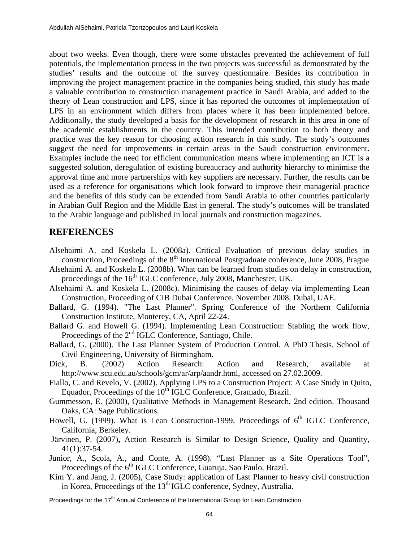about two weeks. Even though, there were some obstacles prevented the achievement of full potentials, the implementation process in the two projects was successful as demonstrated by the studies' results and the outcome of the survey questionnaire. Besides its contribution in improving the project management practice in the companies being studied, this study has made a valuable contribution to construction management practice in Saudi Arabia, and added to the theory of Lean construction and LPS, since it has reported the outcomes of implementation of LPS in an environment which differs from places where it has been implemented before. Additionally, the study developed a basis for the development of research in this area in one of the academic establishments in the country. This intended contribution to both theory and practice was the key reason for choosing action research in this study. The study's outcomes suggest the need for improvements in certain areas in the Saudi construction environment. Examples include the need for efficient communication means where implementing an ICT is a suggested solution, deregulation of existing bureaucracy and authority hierarchy to minimise the approval time and more partnerships with key suppliers are necessary. Further, the results can be used as a reference for organisations which look forward to improve their managerial practice and the benefits of this study can be extended from Saudi Arabia to other countries particularly in Arabian Gulf Region and the Middle East in general. The study's outcomes will be translated to the Arabic language and published in local journals and construction magazines.

## **REFERENCES**

- Alsehaimi A. and Koskela L. (2008a). Critical Evaluation of previous delay studies in construction, Proceedings of the 8<sup>th</sup> International Postgraduate conference, June 2008, Prague
- Alsehaimi A. and Koskela L. (2008b). What can be learned from studies on delay in construction, proceedings of the 16<sup>th</sup> IGLC conference, July 2008, Manchester, UK.
- Alsehaimi A. and Koskela L. (2008c). Minimising the causes of delay via implementing Lean Construction, Proceeding of CIB Dubai Conference, November 2008, Dubai, UAE.
- Ballard, G. (1994). "The Last Planner". Spring Conference of the Northern California Construction Institute, Monterey, CA, April 22-24.
- Ballard G. and Howell G. (1994). Implementing Lean Construction: Stabling the work flow, Proceedings of the 2<sup>nd</sup> IGLC Conference, Santiago, Chile.
- Ballard, G. (2000). The Last Planner System of Production Control. A PhD Thesis, School of Civil Engineering, University of Birmingham.
- Dick, B. (2002) Action Research: Action and Research, available at <http://www.scu.edu.au/schools/gcm/ar/arp/aandr.html>, accessed on 27.02.2009.
- Fiallo, C. and Revelo, V. (2002). Applying LPS to a Construction Project: A Case Study in Quito, Equador, Proceedings of the  $10^{th}$  IGLC Conference, Gramado, Brazil.
- Gummesson, E. (2000), Qualitative Methods in Management Research, 2nd edition. Thousand Oaks, CA: Sage Publications.
- Howell, G. (1999). What is Lean Construction-1999, Proceedings of  $6<sup>th</sup>$  IGLC Conference, California, Berkeley.
- Järvinen, P. (2007)**,** Action Research is Similar to Design Science, Quality and Quantity, 41(1):37-54.
- Junior, A., Scola, A., and Conte, A. (1998). "Last Planner as a Site Operations Tool", Proceedings of the 6<sup>th</sup> IGLC Conference, Guaruja, Sao Paulo, Brazil.
- Kim Y. and Jang, J. (2005), Case Study: application of Last Planner to heavy civil construction in Korea, Proceedings of the  $13<sup>th</sup>$  IGLC conference, Sydney, Australia.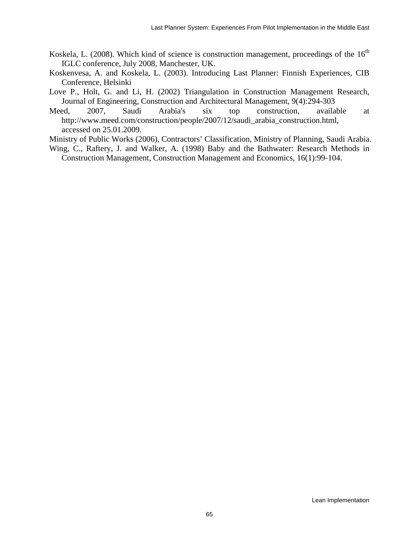- Koskela, L. (2008). Which kind of science is construction management, proceedings of the  $16<sup>th</sup>$ IGLC conference, July 2008, Manchester, UK.
- Koskenvesa, A. and Koskela, L. (2003). Introducing Last Planner: Finnish Experiences, CIB Conference, Helsinki
- Love P., Holt, G. and Li, H. (2002) Triangulation in Construction Management Research, Journal of Engineering, Construction and Architectural Management, 9(4):294-303
- Meed, 2007, Saudi Arabia's six top construction, available at [http://www.meed.com/construction/people/2007/12/saudi\\_arabia\\_construction.html](http://www.meed.com/construction/people/2007/12/saudi_arabia_construction.html), accessed on 25.01.2009.
- Ministry of Public Works (2006), Contractors' Classification, Ministry of Planning, Saudi Arabia.
- Wing, C., Raftery, J. and Walker, A. (1998) Baby and the Bathwater: Research Methods in Construction Management, Construction Management and Economics, 16(1):99-104.